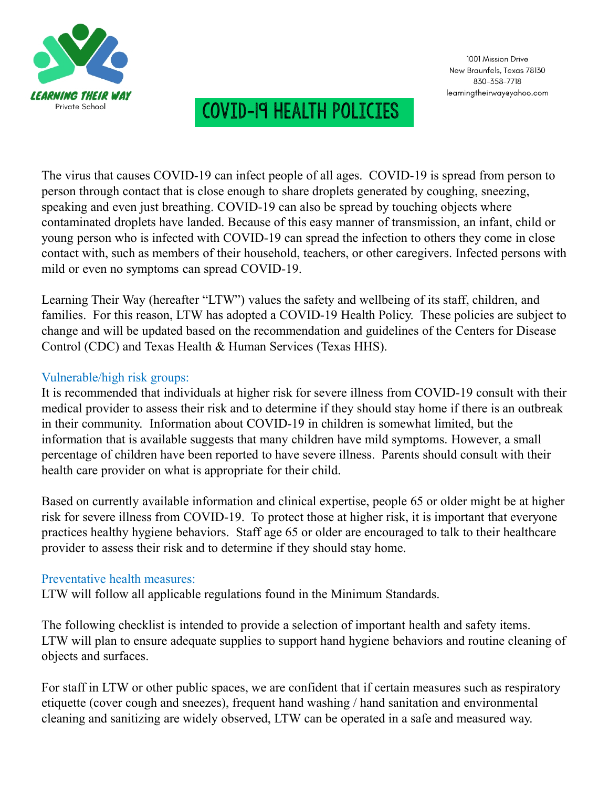

#### New Braunfels, Texas 78130 830-358-7718 learningtheirwayeyahoo.com

1001 Mission Drive

### Covid-19 Health Policies

The virus that causes COVID-19 can infect people of all ages. COVID-19 is spread from person to person through contact that is close enough to share droplets generated by coughing, sneezing, speaking and even just breathing. COVID-19 can also be spread by touching objects where contaminated droplets have landed. Because of this easy manner of transmission, an infant, child or young person who is infected with COVID-19 can spread the infection to others they come in close contact with, such as members of their household, teachers, or other caregivers. Infected persons with mild or even no symptoms can spread COVID-19.

Learning Their Way (hereafter "LTW") values the safety and wellbeing of its staff, children, and families. For this reason, LTW has adopted a COVID-19 Health Policy. These policies are subject to change and will be updated based on the recommendation and guidelines of the Centers for Disease Control (CDC) and Texas Health & Human Services (Texas HHS).

#### Vulnerable/high risk groups:

It is recommended that individuals at higher risk for severe illness from COVID-19 consult with their medical provider to assess their risk and to determine if they should stay home if there is an outbreak in their community. Information about COVID-19 in children is somewhat limited, but the information that is available suggests that many children have mild symptoms. However, a small percentage of children have been reported to have severe illness. Parents should consult with their health care provider on what is appropriate for their child.

Based on currently available information and clinical expertise, people 65 or older might be at higher risk for severe illness from COVID-19. To protect those at higher risk, it is important that everyone practices healthy hygiene behaviors. Staff age 65 or older are encouraged to talk to their healthcare provider to assess their risk and to determine if they should stay home.

#### Preventative health measures:

LTW will follow all applicable regulations found in the Minimum Standards.

The following checklist is intended to provide a selection of important health and safety items. LTW will plan to ensure adequate supplies to support hand hygiene behaviors and routine cleaning of objects and surfaces.

For staff in LTW or other public spaces, we are confident that if certain measures such as respiratory etiquette (cover cough and sneezes), frequent hand washing / hand sanitation and environmental cleaning and sanitizing are widely observed, LTW can be operated in a safe and measured way.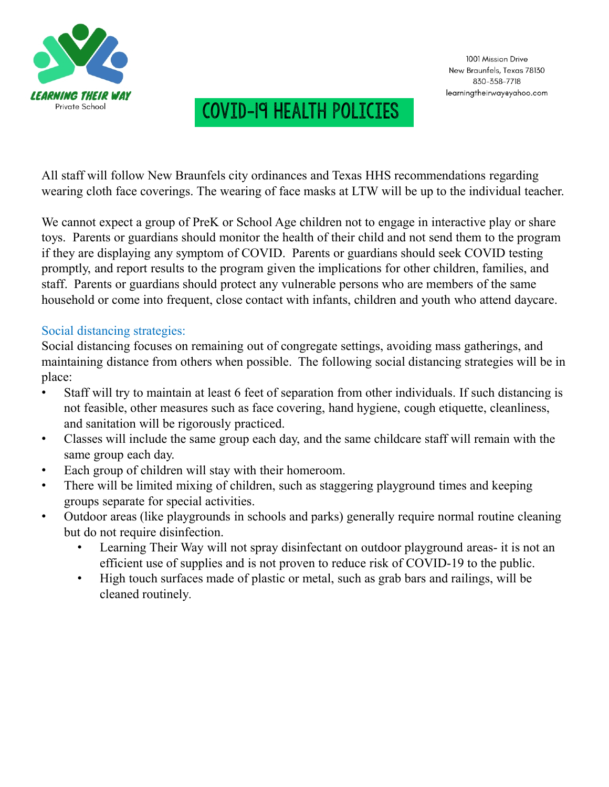

All staff will follow New Braunfels city ordinances and Texas HHS recommendations regarding wearing cloth face coverings. The wearing of face masks at LTW will be up to the individual teacher.

We cannot expect a group of PreK or School Age children not to engage in interactive play or share toys. Parents or guardians should monitor the health of their child and not send them to the program if they are displaying any symptom of COVID. Parents or guardians should seek COVID testing promptly, and report results to the program given the implications for other children, families, and staff. Parents or guardians should protect any vulnerable persons who are members of the same household or come into frequent, close contact with infants, children and youth who attend daycare.

#### Social distancing strategies:

Social distancing focuses on remaining out of congregate settings, avoiding mass gatherings, and maintaining distance from others when possible. The following social distancing strategies will be in place:

- Staff will try to maintain at least 6 feet of separation from other individuals. If such distancing is not feasible, other measures such as face covering, hand hygiene, cough etiquette, cleanliness, and sanitation will be rigorously practiced.
- Classes will include the same group each day, and the same childcare staff will remain with the same group each day.
- Each group of children will stay with their homeroom.
- There will be limited mixing of children, such as staggering playground times and keeping groups separate for special activities.
- Outdoor areas (like playgrounds in schools and parks) generally require normal routine cleaning but do not require disinfection.
	- Learning Their Way will not spray disinfectant on outdoor playground areas- it is not an efficient use of supplies and is not proven to reduce risk of COVID-19 to the public.
	- High touch surfaces made of plastic or metal, such as grab bars and railings, will be cleaned routinely.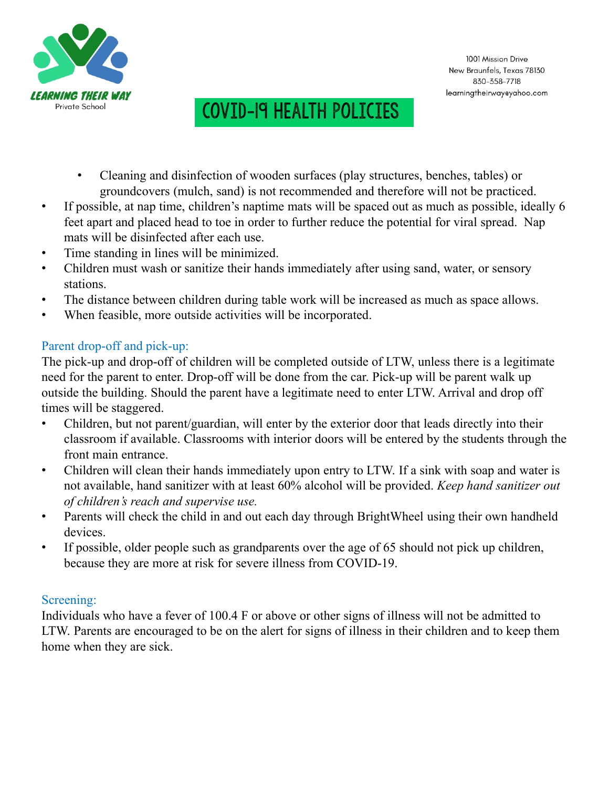

- Cleaning and disinfection of wooden surfaces (play structures, benches, tables) or groundcovers (mulch, sand) is not recommended and therefore will not be practiced.
- If possible, at nap time, children's naptime mats will be spaced out as much as possible, ideally 6 feet apart and placed head to toe in order to further reduce the potential for viral spread. Nap mats will be disinfected after each use.
- Time standing in lines will be minimized.
- Children must wash or sanitize their hands immediately after using sand, water, or sensory stations.
- The distance between children during table work will be increased as much as space allows.
- When feasible, more outside activities will be incorporated.

### Parent drop-off and pick-up:

The pick-up and drop-off of children will be completed outside of LTW, unless there is a legitimate need for the parent to enter. Drop-off will be done from the car. Pick-up will be parent walk up outside the building. Should the parent have a legitimate need to enter LTW. Arrival and drop off times will be staggered.

- Children, but not parent/guardian, will enter by the exterior door that leads directly into their classroom if available. Classrooms with interior doors will be entered by the students through the front main entrance.
- Children will clean their hands immediately upon entry to LTW. If a sink with soap and water is not available, hand sanitizer with at least 60% alcohol will be provided. *Keep hand sanitizer out of children's reach and supervise use.*
- Parents will check the child in and out each day through BrightWheel using their own handheld devices.
- If possible, older people such as grandparents over the age of 65 should not pick up children, because they are more at risk for severe illness from COVID-19.

#### Screening:

Individuals who have a fever of 100.4 F or above or other signs of illness will not be admitted to LTW. Parents are encouraged to be on the alert for signs of illness in their children and to keep them home when they are sick.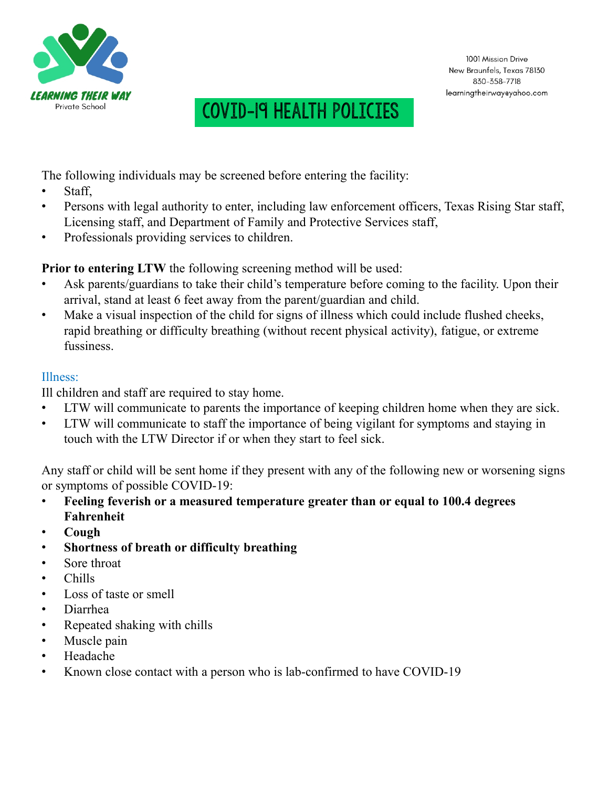

The following individuals may be screened before entering the facility:

- Staff,
- Persons with legal authority to enter, including law enforcement officers, Texas Rising Star staff, Licensing staff, and Department of Family and Protective Services staff,
- Professionals providing services to children.

**Prior to entering LTW** the following screening method will be used:

- Ask parents/guardians to take their child's temperature before coming to the facility. Upon their arrival, stand at least 6 feet away from the parent/guardian and child.
- Make a visual inspection of the child for signs of illness which could include flushed cheeks, rapid breathing or difficulty breathing (without recent physical activity), fatigue, or extreme fussiness.

### Illness:

Ill children and staff are required to stay home.

- LTW will communicate to parents the importance of keeping children home when they are sick.
- LTW will communicate to staff the importance of being vigilant for symptoms and staying in touch with the LTW Director if or when they start to feel sick.

Any staff or child will be sent home if they present with any of the following new or worsening signs or symptoms of possible COVID-19:

- **Feeling feverish or a measured temperature greater than or equal to 100.4 degrees Fahrenheit**
- **Cough**
- **Shortness of breath or difficulty breathing**
- Sore throat
- Chills
- Loss of taste or smell
- Diarrhea
- Repeated shaking with chills
- Muscle pain
- Headache
- Known close contact with a person who is lab-confirmed to have COVID-19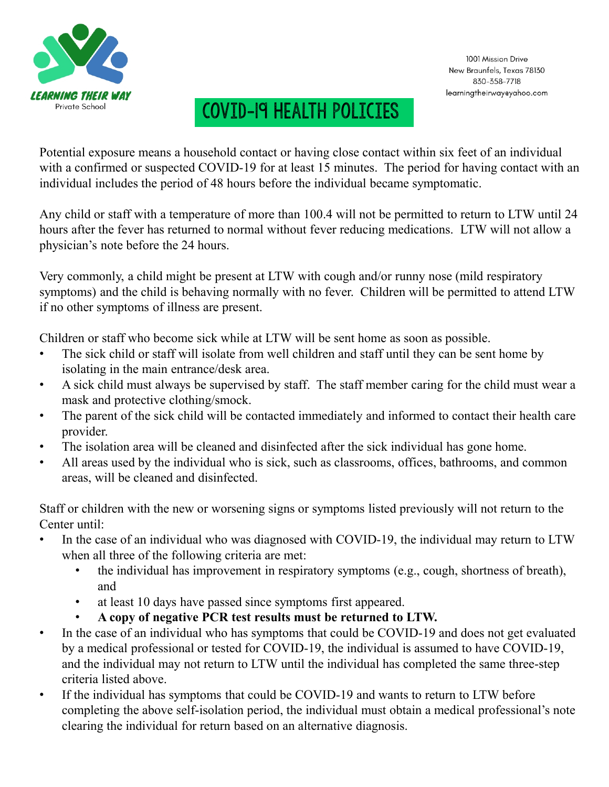

Potential exposure means a household contact or having close contact within six feet of an individual with a confirmed or suspected COVID-19 for at least 15 minutes. The period for having contact with an individual includes the period of 48 hours before the individual became symptomatic.

Any child or staff with a temperature of more than 100.4 will not be permitted to return to LTW until 24 hours after the fever has returned to normal without fever reducing medications. LTW will not allow a physician's note before the 24 hours.

Very commonly, a child might be present at LTW with cough and/or runny nose (mild respiratory symptoms) and the child is behaving normally with no fever. Children will be permitted to attend LTW if no other symptoms of illness are present.

Children or staff who become sick while at LTW will be sent home as soon as possible.

- The sick child or staff will isolate from well children and staff until they can be sent home by isolating in the main entrance/desk area.
- A sick child must always be supervised by staff. The staff member caring for the child must wear a mask and protective clothing/smock.
- The parent of the sick child will be contacted immediately and informed to contact their health care provider.
- The isolation area will be cleaned and disinfected after the sick individual has gone home.
- All areas used by the individual who is sick, such as classrooms, offices, bathrooms, and common areas, will be cleaned and disinfected.

Staff or children with the new or worsening signs or symptoms listed previously will not return to the Center until:

- In the case of an individual who was diagnosed with COVID-19, the individual may return to LTW when all three of the following criteria are met:
	- the individual has improvement in respiratory symptoms (e.g., cough, shortness of breath), and
	- at least 10 days have passed since symptoms first appeared.
	- **A copy of negative PCR test results must be returned to LTW.**
- In the case of an individual who has symptoms that could be COVID-19 and does not get evaluated by a medical professional or tested for COVID-19, the individual is assumed to have COVID-19, and the individual may not return to LTW until the individual has completed the same three-step criteria listed above.
- If the individual has symptoms that could be COVID-19 and wants to return to LTW before completing the above self-isolation period, the individual must obtain a medical professional's note clearing the individual for return based on an alternative diagnosis.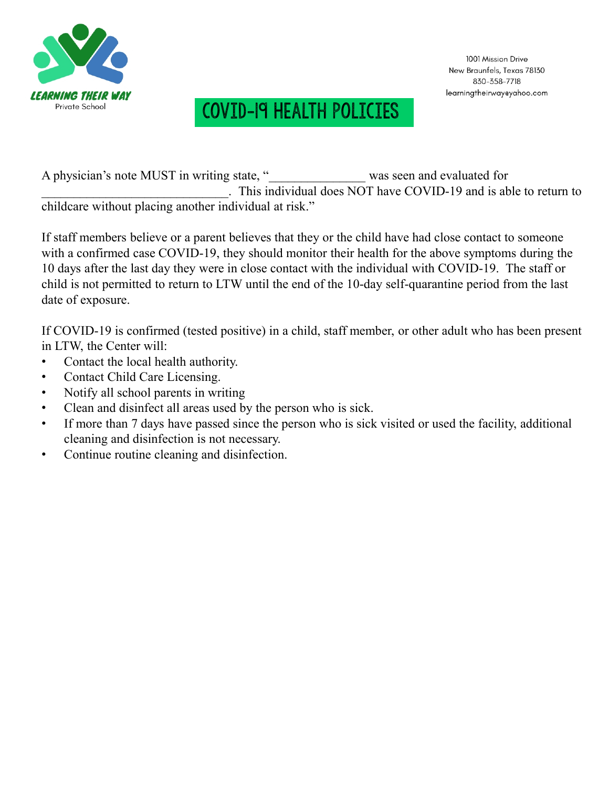

A physician's note MUST in writing state, " was seen and evaluated for \_\_\_\_\_\_\_\_\_\_\_\_\_\_\_\_\_\_\_\_\_\_\_\_\_\_\_\_\_. This individual does NOT have COVID-19 and is able to return to childcare without placing another individual at risk."

If staff members believe or a parent believes that they or the child have had close contact to someone with a confirmed case COVID-19, they should monitor their health for the above symptoms during the 10 days after the last day they were in close contact with the individual with COVID-19. The staff or child is not permitted to return to LTW until the end of the 10-day self-quarantine period from the last date of exposure.

If COVID-19 is confirmed (tested positive) in a child, staff member, or other adult who has been present in LTW, the Center will:

- Contact the local health authority.
- Contact Child Care Licensing.
- Notify all school parents in writing
- Clean and disinfect all areas used by the person who is sick.
- If more than 7 days have passed since the person who is sick visited or used the facility, additional cleaning and disinfection is not necessary.
- Continue routine cleaning and disinfection.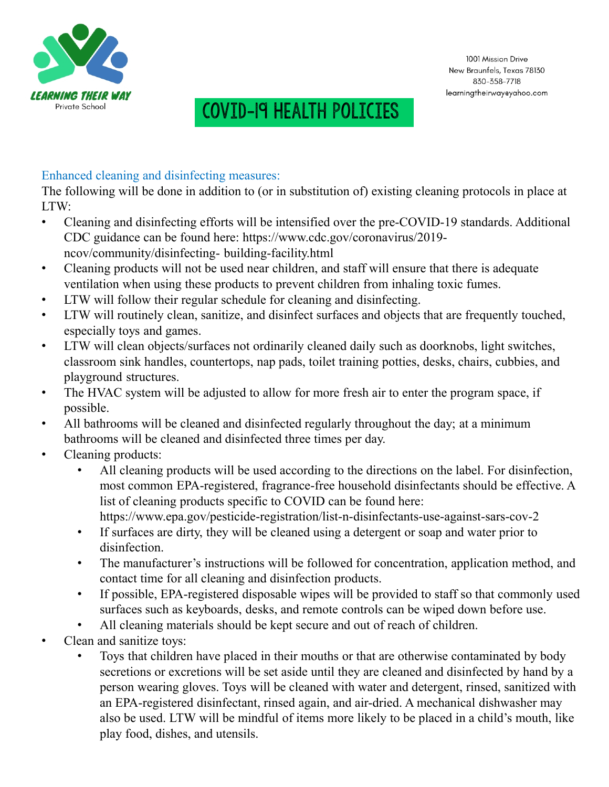

#### Enhanced cleaning and disinfecting measures:

The following will be done in addition to (or in substitution of) existing cleaning protocols in place at LTW:

- Cleaning and disinfecting efforts will be intensified over the pre-COVID-19 standards. Additional CDC guidance can be found here: https://www.cdc.gov/coronavirus/2019 ncov/community/disinfecting- building-facility.html
- Cleaning products will not be used near children, and staff will ensure that there is adequate ventilation when using these products to prevent children from inhaling toxic fumes.
- LTW will follow their regular schedule for cleaning and disinfecting.
- LTW will routinely clean, sanitize, and disinfect surfaces and objects that are frequently touched, especially toys and games.
- LTW will clean objects/surfaces not ordinarily cleaned daily such as doorknobs, light switches, classroom sink handles, countertops, nap pads, toilet training potties, desks, chairs, cubbies, and playground structures.
- The HVAC system will be adjusted to allow for more fresh air to enter the program space, if possible.
- All bathrooms will be cleaned and disinfected regularly throughout the day; at a minimum bathrooms will be cleaned and disinfected three times per day.
- Cleaning products:
	- All cleaning products will be used according to the directions on the label. For disinfection, most common EPA-registered, fragrance-free household disinfectants should be effective. A list of cleaning products specific to COVID can be found here: https://www.epa.gov/pesticide-registration/list-n-disinfectants-use-against-sars-cov-2
	- If surfaces are dirty, they will be cleaned using a detergent or soap and water prior to disinfection.
	- The manufacturer's instructions will be followed for concentration, application method, and contact time for all cleaning and disinfection products.
	- If possible, EPA-registered disposable wipes will be provided to staff so that commonly used surfaces such as keyboards, desks, and remote controls can be wiped down before use.
	- All cleaning materials should be kept secure and out of reach of children.
- Clean and sanitize toys:
	- Toys that children have placed in their mouths or that are otherwise contaminated by body secretions or excretions will be set aside until they are cleaned and disinfected by hand by a person wearing gloves. Toys will be cleaned with water and detergent, rinsed, sanitized with an EPA-registered disinfectant, rinsed again, and air-dried. A mechanical dishwasher may also be used. LTW will be mindful of items more likely to be placed in a child's mouth, like play food, dishes, and utensils.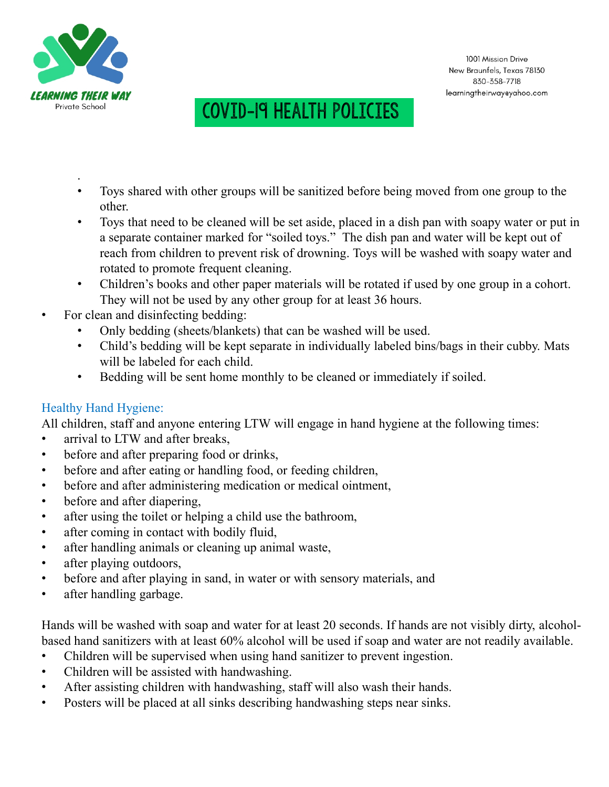

- . • Toys shared with other groups will be sanitized before being moved from one group to the other.
- Toys that need to be cleaned will be set aside, placed in a dish pan with soapy water or put in a separate container marked for "soiled toys." The dish pan and water will be kept out of reach from children to prevent risk of drowning. Toys will be washed with soapy water and rotated to promote frequent cleaning.
- Children's books and other paper materials will be rotated if used by one group in a cohort. They will not be used by any other group for at least 36 hours.
- For clean and disinfecting bedding:
	- Only bedding (sheets/blankets) that can be washed will be used.
	- Child's bedding will be kept separate in individually labeled bins/bags in their cubby. Mats will be labeled for each child.
	- Bedding will be sent home monthly to be cleaned or immediately if soiled.

### Healthy Hand Hygiene:

All children, staff and anyone entering LTW will engage in hand hygiene at the following times:

- arrival to LTW and after breaks.
- before and after preparing food or drinks,
- before and after eating or handling food, or feeding children,
- before and after administering medication or medical ointment,
- before and after diapering,
- after using the toilet or helping a child use the bathroom,
- after coming in contact with bodily fluid,
- after handling animals or cleaning up animal waste,
- after playing outdoors,
- before and after playing in sand, in water or with sensory materials, and
- after handling garbage.

Hands will be washed with soap and water for at least 20 seconds. If hands are not visibly dirty, alcoholbased hand sanitizers with at least 60% alcohol will be used if soap and water are not readily available.

- Children will be supervised when using hand sanitizer to prevent ingestion.
- Children will be assisted with handwashing.
- After assisting children with handwashing, staff will also wash their hands.
- Posters will be placed at all sinks describing handwashing steps near sinks.